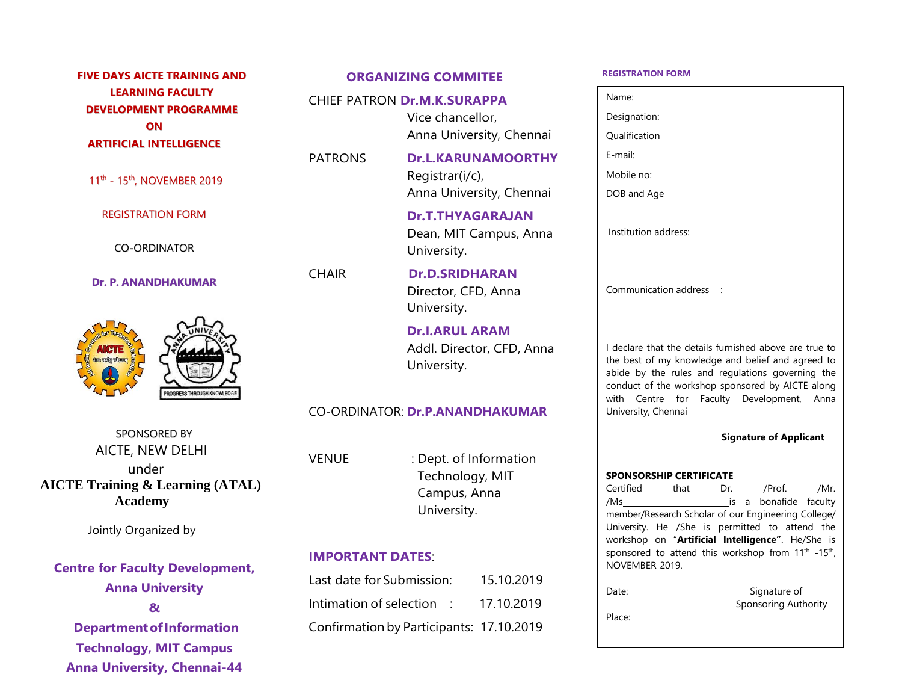## **FIVE DAYS AICTE TRAINING AND LEARNING FACULTY DEVELOPMENT PROGRAMME ON ARTIFICIAL INTELLIGENCE**

11<sup>th</sup> - 15<sup>th</sup>, NOVEMBER 2019

REGISTRATION FORM

CO-ORDINATOR

**Dr. P. ANANDHAKUMAR**



SPONSORED BY AICTE, NEW DELHI under  **AICTE Training & Learning (ATAL) Academy**

Jointly Organized by

# **Centre for Faculty Development, Anna University & DepartmentofInformation Technology, MIT Campus**

**Anna University, Chennai-44**

## **ORGANIZING COMMITEE**

#### CHIEF PATRON **Dr.M.K.SURAPPA**

Vice chancellor, Anna University, Chennai

PATRONS **Dr.L.KARUNAMOORTHY** Registrar(i/c), Anna University, Chennai

> **Dr.T.THYAGARAJAN** Dean, MIT Campus, Anna University.

CHAIR **Dr.D.SRIDHARAN** Director, CFD, Anna University.

> **Dr.I.ARUL ARAM** Addl. Director, CFD, Anna University.

## CO-ORDINATOR: **Dr.P.ANANDHAKUMAR**

VENUE : Dept. of Information Technology, MIT Campus, Anna University.

## **IMPORTANT DATES**:

Last date for Submission: 15.10.2019 Intimation of selection : 17.10.2019 Confirmation by Participants: 17.10.2019

#### **REGISTRATION FORM**

Name:

/Ms is a bonafide faculty member/Research Scholar of our Engineering College/ University. He /She is permitted to attend the workshop on "**Artificial Intelligence"**. He/She is sponsored to attend this workshop from  $11<sup>th</sup> -15<sup>th</sup>$ , NOVEMBER 2019. Date: Signature of Sponsoring Authority Place: /Prof. /Mr. **SPONSORSHIP CERTIFICATE** Certified that Dr. I declare that the details furnished above are true to the best of my knowledge and belief and agreed to abide by the rules and regulations governing the conduct of the workshop sponsored by AICTE along with Centre for Faculty Development, Anna University, Chennai **Signature of Applicant** Communication address : Institution address: Designation: Qualification E-mail: Mobile no: DOB and Age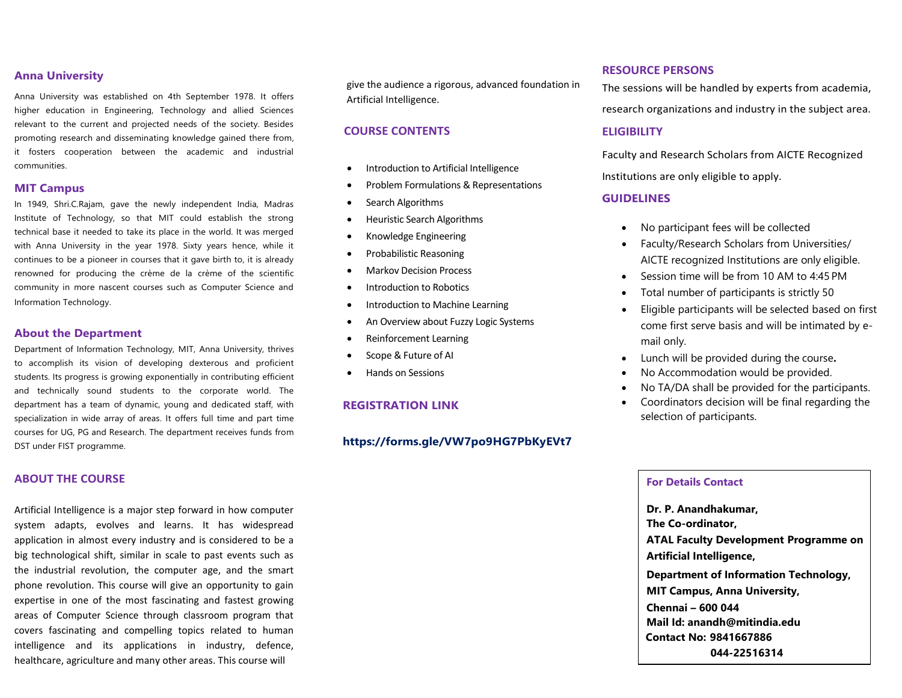## **Anna University**

Anna University was established on 4th September 1978. It offers higher education in Engineering, Technology and allied Sciences relevant to the current and projected needs of the society. Besides promoting research and disseminating knowledge gained there from, it fosters cooperation between the academic and industrial communities.

#### **MIT Campus**

In 1949, Shri.C.Rajam, gave the newly independent India, Madras Institute of Technology, so that MIT could establish the strong technical base it needed to take its place in the world. It was merged with Anna University in the year 1978. Sixty years hence, while it continues to be a pioneer in courses that it gave birth to, it is already renowned for producing the crème de la crème of the scientific community in more nascent courses such as Computer Science and Information Technology.

#### **About the Department**

Department of Information Technology, MIT, Anna University, thrives to accomplish its vision of developing dexterous and proficient students. Its progress is growing exponentially in contributing efficient and technically sound students to the corporate world. The department has a team of dynamic, young and dedicated staff, with specialization in wide array of areas. It offers full time and part time courses for UG, PG and Research. The department receives funds from DST under FIST programme.

#### **ABOUT THE COURSE**

Artificial Intelligence is a major step forward in how computer system adapts, evolves and learns. It has widespread application in almost every industry and is considered to be a big technological shift, similar in scale to past events such as the industrial revolution, the computer age, and the smart phone revolution. This course will give an opportunity to gain expertise in one of the most fascinating and fastest growing areas of Computer Science through classroom program that covers fascinating and compelling topics related to human intelligence and its applications in industry, defence, healthcare, agriculture and many other areas. This course will

give the audience a rigorous, advanced foundation in Artificial Intelligence.

## **COURSE CONTENTS**

- Introduction to Artificial Intelligence
- Problem Formulations & Representations
- Search Algorithms
- Heuristic Search Algorithms
- Knowledge Engineering
- Probabilistic Reasoning
- Markov Decision Process
- Introduction to Robotics
- Introduction to Machine Learning
- An Overview about Fuzzy Logic Systems
- Reinforcement Learning
- Scope & Future of AI
- Hands on Sessions

#### **REGISTRATION LINK**

## **https://forms.gle/VW7po9HG7PbKyEVt7**

#### **RESOURCE PERSONS**

The sessions will be handled by experts from academia, research organizations and industry in the subject area.

#### **ELIGIBILITY**

Faculty and Research Scholars from AICTE Recognized Institutions are only eligible to apply.

#### **GUIDELINES**

- No participant fees will be collected
- Faculty/Research Scholars from Universities/ AICTE recognized Institutions are only eligible.
- Session time will be from 10 AM to 4:45 PM
- Total number of participants is strictly 50
- Eligible participants will be selected based on first come first serve basis and will be intimated by email only.
- Lunch will be provided during the course**.**
- No Accommodation would be provided.
- No TA/DA shall be provided for the participants.
- Coordinators decision will be final regarding the selection of participants.

## **For Details Contact**

**Dr. P. Anandhakumar, The Co-ordinator, ATAL Faculty Development Programme on Artificial Intelligence, Department of Information Technology, MIT Campus, Anna University, Chennai – 600 044 Mail Id: anandh@mitindia.edu Contact No: 9841667886 044-22516314**